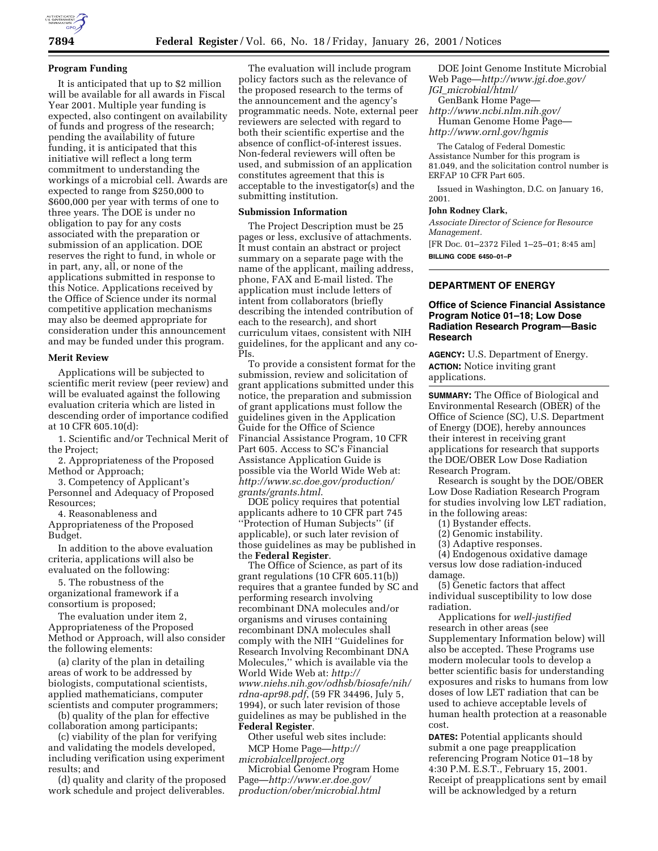

## **Program Funding**

It is anticipated that up to \$2 million will be available for all awards in Fiscal Year 2001. Multiple year funding is expected, also contingent on availability of funds and progress of the research; pending the availability of future funding, it is anticipated that this initiative will reflect a long term commitment to understanding the workings of a microbial cell. Awards are expected to range from \$250,000 to \$600,000 per year with terms of one to three years. The DOE is under no obligation to pay for any costs associated with the preparation or submission of an application. DOE reserves the right to fund, in whole or in part, any, all, or none of the applications submitted in response to this Notice. Applications received by the Office of Science under its normal competitive application mechanisms may also be deemed appropriate for consideration under this announcement and may be funded under this program.

#### **Merit Review**

Applications will be subjected to scientific merit review (peer review) and will be evaluated against the following evaluation criteria which are listed in descending order of importance codified at 10 CFR 605.10(d):

1. Scientific and/or Technical Merit of the Project;

2. Appropriateness of the Proposed Method or Approach;

3. Competency of Applicant's Personnel and Adequacy of Proposed Resources;

4. Reasonableness and

Appropriateness of the Proposed Budget.

In addition to the above evaluation criteria, applications will also be evaluated on the following:

5. The robustness of the organizational framework if a consortium is proposed;

The evaluation under item 2, Appropriateness of the Proposed Method or Approach, will also consider the following elements:

(a) clarity of the plan in detailing areas of work to be addressed by biologists, computational scientists, applied mathematicians, computer scientists and computer programmers;

(b) quality of the plan for effective collaboration among participants;

(c) viability of the plan for verifying and validating the models developed, including verification using experiment results; and

(d) quality and clarity of the proposed work schedule and project deliverables.

The evaluation will include program policy factors such as the relevance of the proposed research to the terms of the announcement and the agency's programmatic needs. Note, external peer reviewers are selected with regard to both their scientific expertise and the absence of conflict-of-interest issues. Non-federal reviewers will often be used, and submission of an application constitutes agreement that this is acceptable to the investigator(s) and the submitting institution.

### **Submission Information**

The Project Description must be 25 pages or less, exclusive of attachments. It must contain an abstract or project summary on a separate page with the name of the applicant, mailing address, phone, FAX and E-mail listed. The application must include letters of intent from collaborators (briefly describing the intended contribution of each to the research), and short curriculum vitaes, consistent with NIH guidelines, for the applicant and any co-PIs.

To provide a consistent format for the submission, review and solicitation of grant applications submitted under this notice, the preparation and submission of grant applications must follow the guidelines given in the Application Guide for the Office of Science Financial Assistance Program, 10 CFR Part 605. Access to SC's Financial Assistance Application Guide is possible via the World Wide Web at: *http://www.sc.doe.gov/production/ grants/grants.html*.

DOE policy requires that potential applicants adhere to 10 CFR part 745 ''Protection of Human Subjects'' (if applicable), or such later revision of those guidelines as may be published in the **Federal Register**.

The Office of Science, as part of its grant regulations (10 CFR 605.11(b)) requires that a grantee funded by SC and performing research involving recombinant DNA molecules and/or organisms and viruses containing recombinant DNA molecules shall comply with the NIH ''Guidelines for Research Involving Recombinant DNA Molecules,'' which is available via the World Wide Web at: *http:// www.niehs.nih.gov/odhsb/biosafe/nih/ rdna-apr98.pdf*, (59 FR 34496, July 5, 1994), or such later revision of those guidelines as may be published in the **Federal Register**.

Other useful web sites include: MCP Home Page—*http:// microbialcellproject.org*

Microbial Genome Program Home Page—*http://www.er.doe.gov/ production/ober/microbial.html*

DOE Joint Genome Institute Microbial Web Page—*http://www.jgi.doe.gov/ JGI*\_*microbial/html/*

GenBank Home Page—

*http://www.ncbi.nlm.nih.gov/* Human Genome Home Page *http://www.ornl.gov/hgmis*

The Catalog of Federal Domestic Assistance Number for this program is 81.049, and the solicitation control number is ERFAP 10 CFR Part 605.

Issued in Washington, D.C. on January 16, 2001.

#### **John Rodney Clark,**

*Associate Director of Science for Resource Management.*

[FR Doc. 01–2372 Filed 1–25–01; 8:45 am] **BILLING CODE 6450–01–P**

### **DEPARTMENT OF ENERGY**

# **Office of Science Financial Assistance Program Notice 01–18; Low Dose Radiation Research Program—Basic Research**

**AGENCY:** U.S. Department of Energy. **ACTION:** Notice inviting grant applications.

**SUMMARY:** The Office of Biological and Environmental Research (OBER) of the Office of Science (SC), U.S. Department of Energy (DOE), hereby announces their interest in receiving grant applications for research that supports the DOE/OBER Low Dose Radiation Research Program.

Research is sought by the DOE/OBER Low Dose Radiation Research Program for studies involving low LET radiation, in the following areas:

- (1) Bystander effects.
- (2) Genomic instability.
- (3) Adaptive responses.

(4) Endogenous oxidative damage versus low dose radiation-induced damage.

(5) Genetic factors that affect individual susceptibility to low dose radiation.

Applications for *well-justified* research in other areas (see Supplementary Information below) will also be accepted. These Programs use modern molecular tools to develop a better scientific basis for understanding exposures and risks to humans from low doses of low LET radiation that can be used to achieve acceptable levels of human health protection at a reasonable cost.

**DATES:** Potential applicants should submit a one page preapplication referencing Program Notice 01–18 by 4:30 P.M. E.S.T., February 15, 2001. Receipt of preapplications sent by email will be acknowledged by a return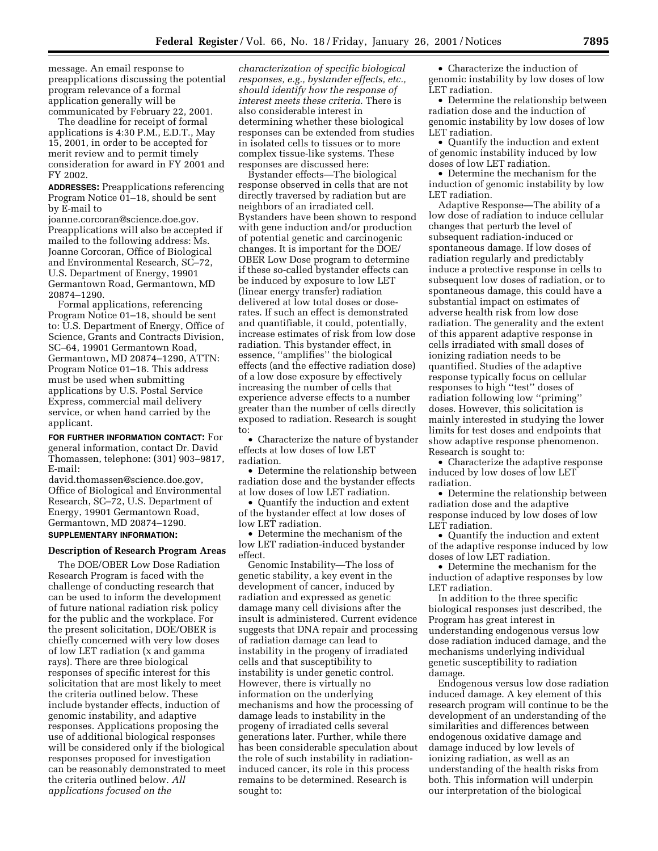message. An email response to preapplications discussing the potential program relevance of a formal application generally will be communicated by February 22, 2001.

The deadline for receipt of formal applications is 4:30 P.M., E.D.T., May 15, 2001, in order to be accepted for merit review and to permit timely consideration for award in FY 2001 and FY 2002.

**ADDRESSES:** Preapplications referencing Program Notice 01–18, should be sent by E-mail to

joanne.corcoran@science.doe.gov. Preapplications will also be accepted if mailed to the following address: Ms. Joanne Corcoran, Office of Biological and Environmental Research, SC–72, U.S. Department of Energy, 19901 Germantown Road, Germantown, MD 20874–1290.

Formal applications, referencing Program Notice 01–18, should be sent to: U.S. Department of Energy, Office of Science, Grants and Contracts Division, SC–64, 19901 Germantown Road, Germantown, MD 20874–1290, ATTN: Program Notice 01–18. This address must be used when submitting applications by U.S. Postal Service Express, commercial mail delivery service, or when hand carried by the applicant.

**FOR FURTHER INFORMATION CONTACT:** For general information, contact Dr. David Thomassen, telephone: (301) 903–9817, E-mail:

david.thomassen@science.doe.gov, Office of Biological and Environmental Research, SC–72, U.S. Department of Energy, 19901 Germantown Road, Germantown, MD 20874–1290.

# **SUPPLEMENTARY INFORMATION:**

## **Description of Research Program Areas**

The DOE/OBER Low Dose Radiation Research Program is faced with the challenge of conducting research that can be used to inform the development of future national radiation risk policy for the public and the workplace. For the present solicitation, DOE/OBER is chiefly concerned with very low doses of low LET radiation (x and gamma rays). There are three biological responses of specific interest for this solicitation that are most likely to meet the criteria outlined below. These include bystander effects, induction of genomic instability, and adaptive responses. Applications proposing the use of additional biological responses will be considered only if the biological responses proposed for investigation can be reasonably demonstrated to meet the criteria outlined below. *All applications focused on the*

*characterization of specific biological responses, e.g., bystander effects, etc., should identify how the response of interest meets these criteria.* There is also considerable interest in determining whether these biological responses can be extended from studies in isolated cells to tissues or to more complex tissue-like systems. These responses are discussed here:

Bystander effects—The biological response observed in cells that are not directly traversed by radiation but are neighbors of an irradiated cell. Bystanders have been shown to respond with gene induction and/or production of potential genetic and carcinogenic changes. It is important for the DOE/ OBER Low Dose program to determine if these so-called bystander effects can be induced by exposure to low LET (linear energy transfer) radiation delivered at low total doses or doserates. If such an effect is demonstrated and quantifiable, it could, potentially, increase estimates of risk from low dose radiation. This bystander effect, in essence, ''amplifies'' the biological effects (and the effective radiation dose) of a low dose exposure by effectively increasing the number of cells that experience adverse effects to a number greater than the number of cells directly exposed to radiation. Research is sought to:

• Characterize the nature of bystander effects at low doses of low LET radiation.

• Determine the relationship between radiation dose and the bystander effects at low doses of low LET radiation.

• Quantify the induction and extent of the bystander effect at low doses of low LET radiation.

• Determine the mechanism of the low LET radiation-induced bystander effect.

Genomic Instability—The loss of genetic stability, a key event in the development of cancer, induced by radiation and expressed as genetic damage many cell divisions after the insult is administered. Current evidence suggests that DNA repair and processing of radiation damage can lead to instability in the progeny of irradiated cells and that susceptibility to instability is under genetic control. However, there is virtually no information on the underlying mechanisms and how the processing of damage leads to instability in the progeny of irradiated cells several generations later. Further, while there has been considerable speculation about the role of such instability in radiationinduced cancer, its role in this process remains to be determined. Research is sought to:

• Characterize the induction of genomic instability by low doses of low LET radiation.

• Determine the relationship between radiation dose and the induction of genomic instability by low doses of low LET radiation.

• Quantify the induction and extent of genomic instability induced by low doses of low LET radiation.

• Determine the mechanism for the induction of genomic instability by low LET radiation.

Adaptive Response—The ability of a low dose of radiation to induce cellular changes that perturb the level of subsequent radiation-induced or spontaneous damage. If low doses of radiation regularly and predictably induce a protective response in cells to subsequent low doses of radiation, or to spontaneous damage, this could have a substantial impact on estimates of adverse health risk from low dose radiation. The generality and the extent of this apparent adaptive response in cells irradiated with small doses of ionizing radiation needs to be quantified. Studies of the adaptive response typically focus on cellular responses to high ''test'' doses of radiation following low ''priming'' doses. However, this solicitation is mainly interested in studying the lower limits for test doses and endpoints that show adaptive response phenomenon. Research is sought to:

• Characterize the adaptive response induced by low doses of low LET radiation.

• Determine the relationship between radiation dose and the adaptive response induced by low doses of low LET radiation.

• Quantify the induction and extent of the adaptive response induced by low doses of low LET radiation.

• Determine the mechanism for the induction of adaptive responses by low LET radiation.

In addition to the three specific biological responses just described, the Program has great interest in understanding endogenous versus low dose radiation induced damage, and the mechanisms underlying individual genetic susceptibility to radiation damage.

Endogenous versus low dose radiation induced damage. A key element of this research program will continue to be the development of an understanding of the similarities and differences between endogenous oxidative damage and damage induced by low levels of ionizing radiation, as well as an understanding of the health risks from both. This information will underpin our interpretation of the biological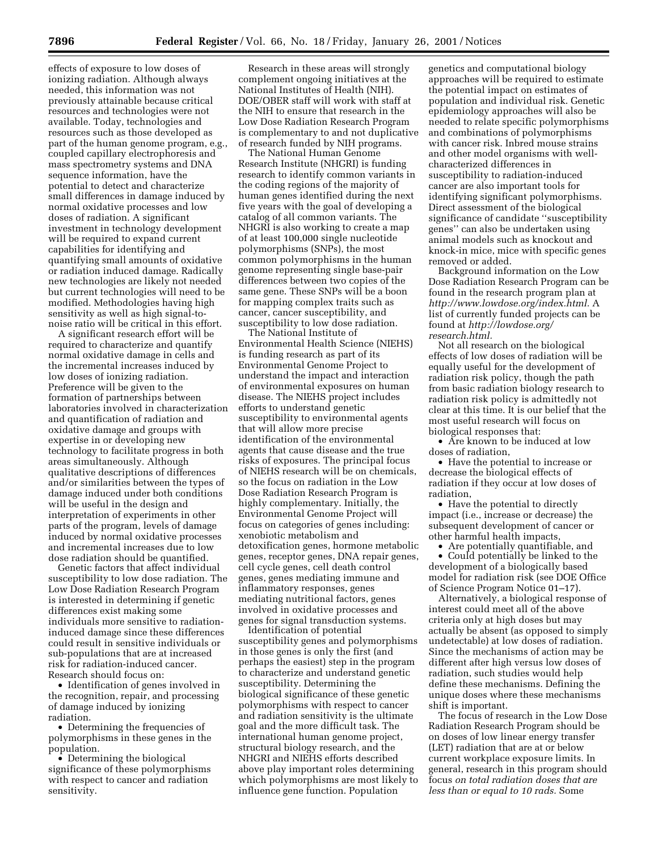effects of exposure to low doses of ionizing radiation. Although always needed, this information was not previously attainable because critical resources and technologies were not available. Today, technologies and resources such as those developed as part of the human genome program, e.g., coupled capillary electrophoresis and mass spectrometry systems and DNA sequence information, have the potential to detect and characterize small differences in damage induced by normal oxidative processes and low doses of radiation. A significant investment in technology development will be required to expand current capabilities for identifying and quantifying small amounts of oxidative or radiation induced damage. Radically new technologies are likely not needed but current technologies will need to be modified. Methodologies having high sensitivity as well as high signal-tonoise ratio will be critical in this effort.

A significant research effort will be required to characterize and quantify normal oxidative damage in cells and the incremental increases induced by low doses of ionizing radiation. Preference will be given to the formation of partnerships between laboratories involved in characterization and quantification of radiation and oxidative damage and groups with expertise in or developing new technology to facilitate progress in both areas simultaneously. Although qualitative descriptions of differences and/or similarities between the types of damage induced under both conditions will be useful in the design and interpretation of experiments in other parts of the program, levels of damage induced by normal oxidative processes and incremental increases due to low dose radiation should be quantified.

Genetic factors that affect individual susceptibility to low dose radiation. The Low Dose Radiation Research Program is interested in determining if genetic differences exist making some individuals more sensitive to radiationinduced damage since these differences could result in sensitive individuals or sub-populations that are at increased risk for radiation-induced cancer. Research should focus on:

• Identification of genes involved in the recognition, repair, and processing of damage induced by ionizing radiation.

• Determining the frequencies of polymorphisms in these genes in the population.

• Determining the biological significance of these polymorphisms with respect to cancer and radiation sensitivity.

Research in these areas will strongly complement ongoing initiatives at the National Institutes of Health (NIH). DOE/OBER staff will work with staff at the NIH to ensure that research in the Low Dose Radiation Research Program is complementary to and not duplicative of research funded by NIH programs.

The National Human Genome Research Institute (NHGRI) is funding research to identify common variants in the coding regions of the majority of human genes identified during the next five years with the goal of developing a catalog of all common variants. The NHGRI is also working to create a map of at least 100,000 single nucleotide polymorphisms (SNPs), the most common polymorphisms in the human genome representing single base-pair differences between two copies of the same gene. These SNPs will be a boon for mapping complex traits such as cancer, cancer susceptibility, and susceptibility to low dose radiation.

The National Institute of Environmental Health Science (NIEHS) is funding research as part of its Environmental Genome Project to understand the impact and interaction of environmental exposures on human disease. The NIEHS project includes efforts to understand genetic susceptibility to environmental agents that will allow more precise identification of the environmental agents that cause disease and the true risks of exposures. The principal focus of NIEHS research will be on chemicals, so the focus on radiation in the Low Dose Radiation Research Program is highly complementary. Initially, the Environmental Genome Project will focus on categories of genes including: xenobiotic metabolism and detoxification genes, hormone metabolic genes, receptor genes, DNA repair genes, cell cycle genes, cell death control genes, genes mediating immune and inflammatory responses, genes mediating nutritional factors, genes involved in oxidative processes and genes for signal transduction systems.

Identification of potential susceptibility genes and polymorphisms in those genes is only the first (and perhaps the easiest) step in the program to characterize and understand genetic susceptibility. Determining the biological significance of these genetic polymorphisms with respect to cancer and radiation sensitivity is the ultimate goal and the more difficult task. The international human genome project, structural biology research, and the NHGRI and NIEHS efforts described above play important roles determining which polymorphisms are most likely to influence gene function. Population

genetics and computational biology approaches will be required to estimate the potential impact on estimates of population and individual risk. Genetic epidemiology approaches will also be needed to relate specific polymorphisms and combinations of polymorphisms with cancer risk. Inbred mouse strains and other model organisms with wellcharacterized differences in susceptibility to radiation-induced cancer are also important tools for identifying significant polymorphisms. Direct assessment of the biological significance of candidate ''susceptibility genes'' can also be undertaken using animal models such as knockout and knock-in mice, mice with specific genes removed or added.

Background information on the Low Dose Radiation Research Program can be found in the research program plan at *http://www.lowdose.org/index.html.* A list of currently funded projects can be found at *http://lowdose.org/ research.html.*

Not all research on the biological effects of low doses of radiation will be equally useful for the development of radiation risk policy, though the path from basic radiation biology research to radiation risk policy is admittedly not clear at this time. It is our belief that the most useful research will focus on biological responses that:

• Are known to be induced at low doses of radiation,

• Have the potential to increase or decrease the biological effects of radiation if they occur at low doses of radiation,

• Have the potential to directly impact (i.e., increase or decrease) the subsequent development of cancer or other harmful health impacts,

• Are potentially quantifiable, and • Could potentially be linked to the development of a biologically based model for radiation risk (see DOE Office of Science Program Notice 01–17).

Alternatively, a biological response of interest could meet all of the above criteria only at high doses but may actually be absent (as opposed to simply undetectable) at low doses of radiation. Since the mechanisms of action may be different after high versus low doses of radiation, such studies would help define these mechanisms. Defining the unique doses where these mechanisms shift is important.

The focus of research in the Low Dose Radiation Research Program should be on doses of low linear energy transfer (LET) radiation that are at or below current workplace exposure limits. In general, research in this program should focus *on total radiation doses that are less than or equal to 10 rads.* Some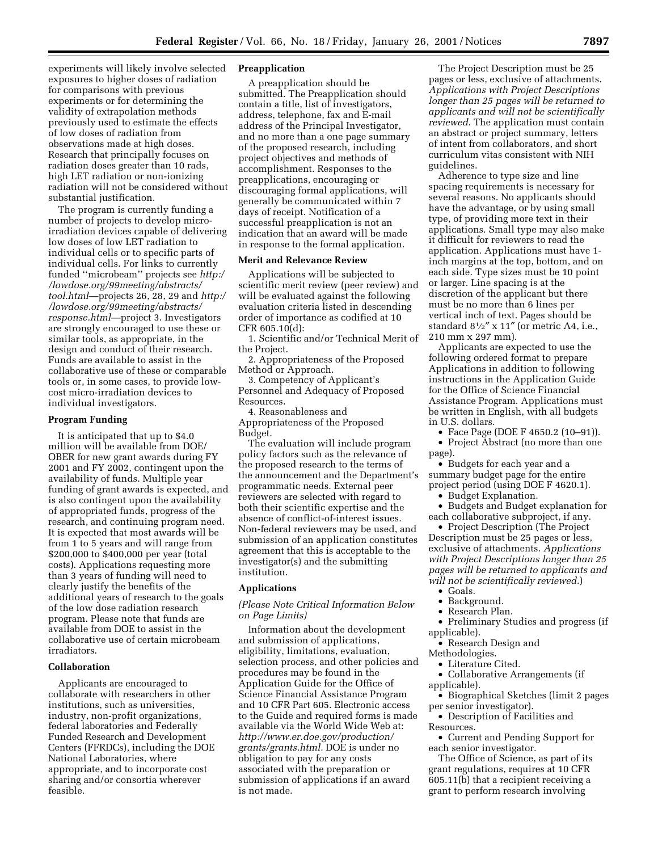experiments will likely involve selected exposures to higher doses of radiation for comparisons with previous experiments or for determining the validity of extrapolation methods previously used to estimate the effects of low doses of radiation from observations made at high doses. Research that principally focuses on radiation doses greater than 10 rads, high LET radiation or non-ionizing radiation will not be considered without substantial justification.

The program is currently funding a number of projects to develop microirradiation devices capable of delivering low doses of low LET radiation to individual cells or to specific parts of individual cells. For links to currently funded ''microbeam'' projects see *http:/ /lowdose.org/99meeting/abstracts/ tool.html*—projects 26, 28, 29 and *http:/ /lowdose.org/99meeting/abstracts/ response.html*—project 3. Investigators are strongly encouraged to use these or similar tools, as appropriate, in the design and conduct of their research. Funds are available to assist in the collaborative use of these or comparable tools or, in some cases, to provide lowcost micro-irradiation devices to individual investigators.

## **Program Funding**

It is anticipated that up to \$4.0 million will be available from DOE/ OBER for new grant awards during FY 2001 and FY 2002, contingent upon the availability of funds. Multiple year funding of grant awards is expected, and is also contingent upon the availability of appropriated funds, progress of the research, and continuing program need. It is expected that most awards will be from 1 to 5 years and will range from \$200,000 to \$400,000 per year (total costs). Applications requesting more than 3 years of funding will need to clearly justify the benefits of the additional years of research to the goals of the low dose radiation research program. Please note that funds are available from DOE to assist in the collaborative use of certain microbeam irradiators.

# **Collaboration**

Applicants are encouraged to collaborate with researchers in other institutions, such as universities, industry, non-profit organizations, federal laboratories and Federally Funded Research and Development Centers (FFRDCs), including the DOE National Laboratories, where appropriate, and to incorporate cost sharing and/or consortia wherever feasible.

### **Preapplication**

A preapplication should be submitted. The Preapplication should contain a title, list of investigators, address, telephone, fax and E-mail address of the Principal Investigator, and no more than a one page summary of the proposed research, including project objectives and methods of accomplishment. Responses to the preapplications, encouraging or discouraging formal applications, will generally be communicated within 7 days of receipt. Notification of a successful preapplication is not an indication that an award will be made in response to the formal application.

## **Merit and Relevance Review**

Applications will be subjected to scientific merit review (peer review) and will be evaluated against the following evaluation criteria listed in descending order of importance as codified at 10 CFR 605.10(d):

1. Scientific and/or Technical Merit of the Project.

2. Appropriateness of the Proposed Method or Approach.

3. Competency of Applicant's Personnel and Adequacy of Proposed Resources.

4. Reasonableness and Appropriateness of the Proposed Budget.

The evaluation will include program policy factors such as the relevance of the proposed research to the terms of the announcement and the Department's programmatic needs. External peer reviewers are selected with regard to both their scientific expertise and the absence of conflict-of-interest issues. Non-federal reviewers may be used, and submission of an application constitutes agreement that this is acceptable to the investigator(s) and the submitting institution.

#### **Applications**

*(Please Note Critical Information Below on Page Limits)*

Information about the development and submission of applications, eligibility, limitations, evaluation, selection process, and other policies and procedures may be found in the Application Guide for the Office of Science Financial Assistance Program and 10 CFR Part 605. Electronic access to the Guide and required forms is made available via the World Wide Web at: *http://www.er.doe.gov/production/ grants/grants.html.* DOE is under no obligation to pay for any costs associated with the preparation or submission of applications if an award is not made.

The Project Description must be 25 pages or less, exclusive of attachments. *Applications with Project Descriptions longer than 25 pages will be returned to applicants and will not be scientifically reviewed.* The application must contain an abstract or project summary, letters of intent from collaborators, and short curriculum vitas consistent with NIH guidelines.

Adherence to type size and line spacing requirements is necessary for several reasons. No applicants should have the advantage, or by using small type, of providing more text in their applications. Small type may also make it difficult for reviewers to read the application. Applications must have 1 inch margins at the top, bottom, and on each side. Type sizes must be 10 point or larger. Line spacing is at the discretion of the applicant but there must be no more than 6 lines per vertical inch of text. Pages should be standard  $8\frac{1}{2}$ " x 11" (or metric A4, i.e., 210 mm x 297 mm).

Applicants are expected to use the following ordered format to prepare Applications in addition to following instructions in the Application Guide for the Office of Science Financial Assistance Program. Applications must be written in English, with all budgets in U.S. dollars.

- Face Page (DOE F 4650.2 (10–91)). • Project Abstract (no more than one
- page).

• Budgets for each year and a summary budget page for the entire project period (using DOE F 4620.1).

• Budget Explanation.

• Budgets and Budget explanation for each collaborative subproject, if any.

• Project Description (The Project Description must be 25 pages or less, exclusive of attachments. *Applications with Project Descriptions longer than 25 pages will be returned to applicants and will not be scientifically reviewed.*)

- Goals.
- Background.
- Research Plan.
- Preliminary Studies and progress (if applicable).
- Research Design and
- Methodologies.
	- Literature Cited.
- Collaborative Arrangements (if applicable).
- Biographical Sketches (limit 2 pages per senior investigator).
- Description of Facilities and Resources.

• Current and Pending Support for each senior investigator.

The Office of Science, as part of its grant regulations, requires at 10 CFR 605.11(b) that a recipient receiving a grant to perform research involving